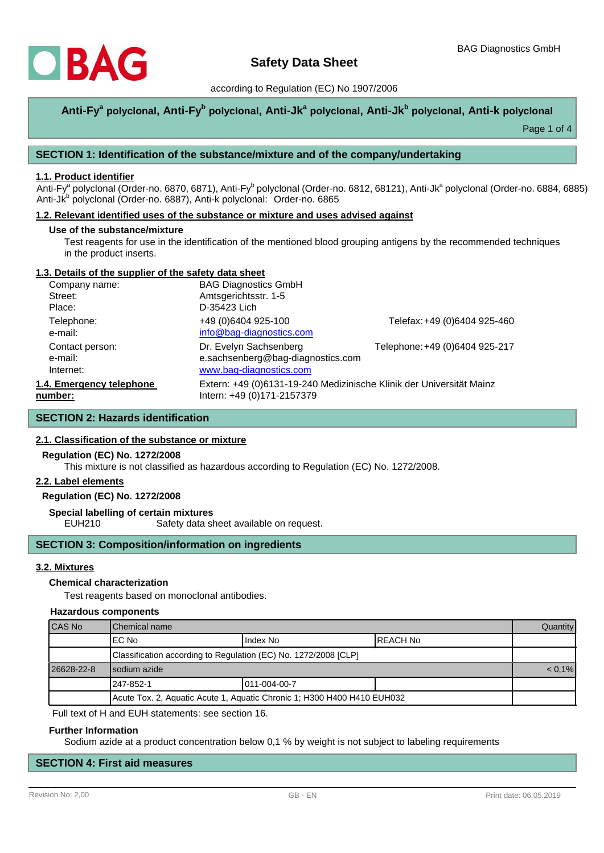

## according to Regulation (EC) No 1907/2006

# **Anti-Fy<sup>a</sup> polyclonal, Anti-Fy<sup>b</sup> polyclonal, Anti-Jk<sup>a</sup> polyclonal, Anti-Jk<sup>b</sup> polyclonal, Anti-k polyclonal**

Page 1 of 4

## **SECTION 1: Identification of the substance/mixture and of the company/undertaking**

### **1.1. Product identifier**

Anti-Fy<sup>a</sup> polyclonal (Order-no. 6870, 6871), Anti-Fy<sup>b</sup> polyclonal (Order-no. 6812, 68121), Anti-Jk<sup>a</sup> polyclonal (Order-no. 6884, 6885) Anti-Jk<sup>b</sup> polyclonal (Order-no. 6887), Anti-k polyclonal: Order-no. 6865

#### **1.2. Relevant identified uses of the substance or mixture and uses advised against**

#### **Use of the substance/mixture**

Test reagents for use in the identification of the mentioned blood grouping antigens by the recommended techniques in the product inserts.

## **1.3. Details of the supplier of the safety data sheet**

| Company name:            | <b>BAG Diagnostics GmbH</b>                                          |                                |  |
|--------------------------|----------------------------------------------------------------------|--------------------------------|--|
| Street:                  | Amtsgerichtsstr. 1-5                                                 |                                |  |
| Place:                   | D-35423 Lich                                                         |                                |  |
| Telephone:               | +49 (0)6404 925-100                                                  | Telefax: +49 (0)6404 925-460   |  |
| e-mail:                  | info@bag-diagnostics.com                                             |                                |  |
| Contact person:          | Dr. Evelyn Sachsenberg                                               | Telephone: +49 (0)6404 925-217 |  |
| e-mail:                  | e.sachsenberg@bag-diagnostics.com                                    |                                |  |
| Internet:                | www.bag-diagnostics.com                                              |                                |  |
| 1.4. Emergency telephone | Extern: +49 (0)6131-19-240 Medizinische Klinik der Universität Mainz |                                |  |
| number:                  | Intern: +49 (0)171-2157379                                           |                                |  |

## **SECTION 2: Hazards identification**

## **2.1. Classification of the substance or mixture**

#### **Regulation (EC) No. 1272/2008**

This mixture is not classified as hazardous according to Regulation (EC) No. 1272/2008.

#### **2.2. Label elements**

## **Regulation (EC) No. 1272/2008**

**Special labelling of certain mixtures**

EUH210 Safety data sheet available on request.

## **SECTION 3: Composition/information on ingredients**

## **3.2. Mixtures**

#### **Chemical characterization**

Test reagents based on monoclonal antibodies.

#### **Hazardous components**

| CAS No                                                                  | Chemical name                                                   |              |           | Quantity |
|-------------------------------------------------------------------------|-----------------------------------------------------------------|--------------|-----------|----------|
|                                                                         | IEC No                                                          | Index No     | IREACH No |          |
|                                                                         | Classification according to Regulation (EC) No. 1272/2008 [CLP] |              |           |          |
| 26628-22-8                                                              | Isodium azide                                                   |              | $< 0.1\%$ |          |
|                                                                         | l 247-852-1                                                     | 011-004-00-7 |           |          |
| Acute Tox. 2, Aquatic Acute 1, Aquatic Chronic 1; H300 H400 H410 EUH032 |                                                                 |              |           |          |

Full text of H and EUH statements: see section 16.

#### **Further Information**

Sodium azide at a product concentration below 0,1 % by weight is not subject to labeling requirements

# **SECTION 4: First aid measures**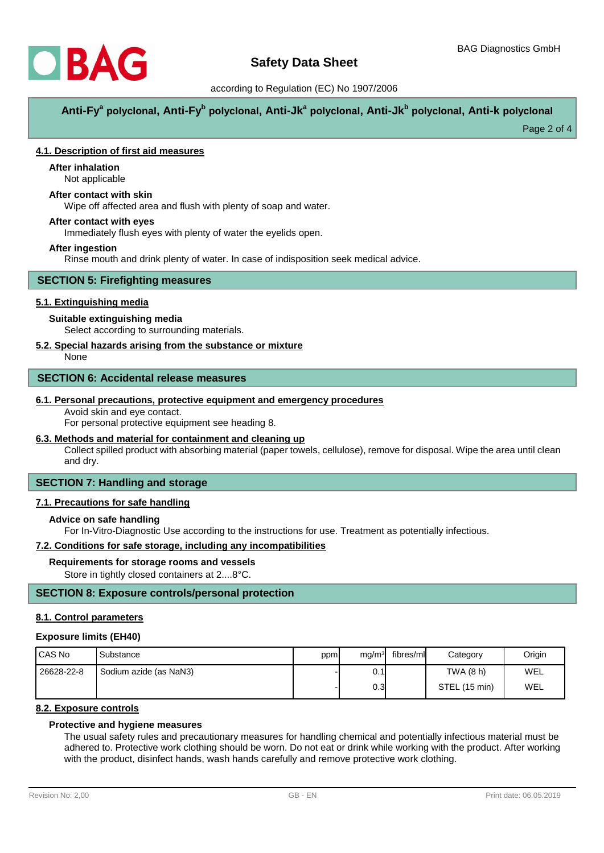

## according to Regulation (EC) No 1907/2006

**Anti-Fy<sup>a</sup> polyclonal, Anti-Fy<sup>b</sup> polyclonal, Anti-Jk<sup>a</sup> polyclonal, Anti-Jk<sup>b</sup> polyclonal, Anti-k polyclonal**

Page 2 of 4

## **4.1. Description of first aid measures**

# **After inhalation**

Not applicable

# **After contact with skin**

Wipe off affected area and flush with plenty of soap and water.

### **After contact with eyes**

Immediately flush eyes with plenty of water the eyelids open.

## **After ingestion**

Rinse mouth and drink plenty of water. In case of indisposition seek medical advice.

## **SECTION 5: Firefighting measures**

## **5.1. Extinguishing media**

## **Suitable extinguishing media**

Select according to surrounding materials.

## **5.2. Special hazards arising from the substance or mixture**

None

#### **SECTION 6: Accidental release measures**

#### **6.1. Personal precautions, protective equipment and emergency procedures**

Avoid skin and eye contact.

For personal protective equipment see heading 8.

## **6.3. Methods and material for containment and cleaning up**

Collect spilled product with absorbing material (paper towels, cellulose), remove for disposal. Wipe the area until clean and dry.

# **SECTION 7: Handling and storage**

## **7.1. Precautions for safe handling**

### **Advice on safe handling**

For In-Vitro-Diagnostic Use according to the instructions for use. Treatment as potentially infectious.

## **7.2. Conditions for safe storage, including any incompatibilities**

#### **Requirements for storage rooms and vessels**

Store in tightly closed containers at 2....8°C.

## **SECTION 8: Exposure controls/personal protection**

#### **8.1. Control parameters**

#### **Exposure limits (EH40)**

| I CAS No   | Substance              | ppm | mg/m <sup>3</sup> | fibres/ml | Category      | Origin |
|------------|------------------------|-----|-------------------|-----------|---------------|--------|
| 26628-22-8 | Sodium azide (as NaN3) |     | 0.1               |           | TWA (8 h)     | WEL    |
|            |                        |     | 0.3 <sub>l</sub>  |           | STEL (15 min) | WEL    |

## **8.2. Exposure controls**

## **Protective and hygiene measures**

The usual safety rules and precautionary measures for handling chemical and potentially infectious material must be adhered to. Protective work clothing should be worn. Do not eat or drink while working with the product. After working with the product, disinfect hands, wash hands carefully and remove protective work clothing.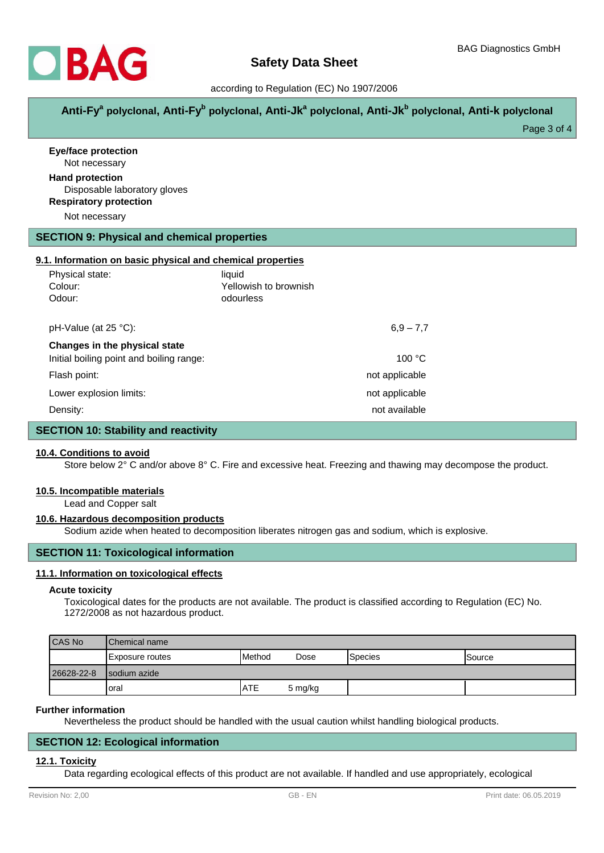

## according to Regulation (EC) No 1907/2006

**Anti-Fy<sup>a</sup> polyclonal, Anti-Fy<sup>b</sup> polyclonal, Anti-Jk<sup>a</sup> polyclonal, Anti-Jk<sup>b</sup> polyclonal, Anti-k polyclonal**

Page 3 of 4

| <b>Eye/face protection</b><br>Not necessary                                             |                                    |                |  |
|-----------------------------------------------------------------------------------------|------------------------------------|----------------|--|
| <b>Hand protection</b><br>Disposable laboratory gloves<br><b>Respiratory protection</b> |                                    |                |  |
| Not necessary                                                                           |                                    |                |  |
| <b>SECTION 9: Physical and chemical properties</b>                                      |                                    |                |  |
| 9.1. Information on basic physical and chemical properties                              |                                    |                |  |
| Physical state:                                                                         | liquid                             |                |  |
| Colour:<br>Odour:                                                                       | Yellowish to brownish<br>odourless |                |  |
| pH-Value (at 25 °C):                                                                    |                                    | $6,9 - 7,7$    |  |
| Changes in the physical state                                                           |                                    |                |  |
| Initial boiling point and boiling range:                                                |                                    | 100 °C         |  |
| Flash point:                                                                            | not applicable                     |                |  |
| Lower explosion limits:                                                                 |                                    | not applicable |  |
| Density:                                                                                |                                    | not available  |  |
| <b>SECTION 10: Stability and reactivity</b>                                             |                                    |                |  |

## **10.4. Conditions to avoid**

Store below 2° C and/or above 8° C. Fire and excessive heat. Freezing and thawing may decompose the product.

#### **10.5. Incompatible materials**

Lead and Copper salt

#### **10.6. Hazardous decomposition products**

Sodium azide when heated to decomposition liberates nitrogen gas and sodium, which is explosive.

## **SECTION 11: Toxicological information**

#### **11.1. Information on toxicological effects**

#### **Acute toxicity**

Toxicological dates for the products are not available. The product is classified according to Regulation (EC) No. 1272/2008 as not hazardous product.

| <b>CAS No</b> | <b>IChemical name</b>   |                |         |         |               |
|---------------|-------------------------|----------------|---------|---------|---------------|
|               | <b>IExposure routes</b> | <b>IMethod</b> | Dose    | Species | <b>Source</b> |
| 26628-22-8    | Isodium azide           |                |         |         |               |
|               | Ioral                   | <b>ATE</b>     | 5 mg/kg |         |               |

#### **Further information**

Nevertheless the product should be handled with the usual caution whilst handling biological products.

#### **SECTION 12: Ecological information**

#### **12.1. Toxicity**

Data regarding ecological effects of this product are not available. If handled and use appropriately, ecological